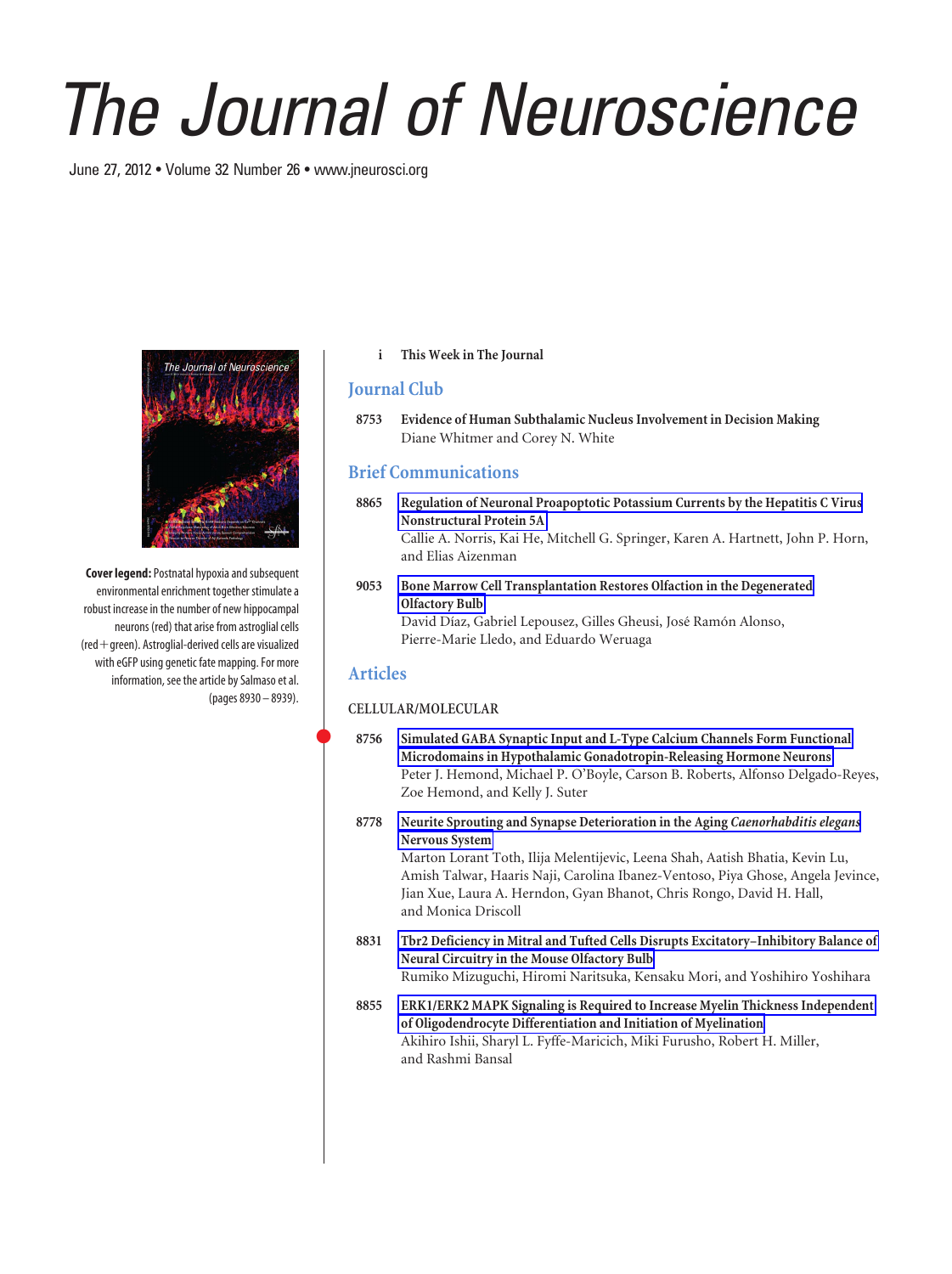# *The Journal of Neuroscience*

June 27, 2012 • Volume 32 Number 26 • www.jneurosci.org



**Cover legend:**Postnatal hypoxia and subsequent environmental enrichment together stimulate a robust increase in the number of new hippocampal neurons (red) that arise from astroglial cells  $(\text{red} + \text{green})$ . Astroglial-derived cells are visualized with eGFP using genetic fate mapping. For more information, see the article by Salmaso et al. (pages 8930 – 8939).

## **i This Week in The Journal**

## **Journal Club**

**8753 Evidence of Human Subthalamic Nucleus Involvement in Decision Making** Diane Whitmer and Corey N. White

# **Brief Communications**

**8865 Regulation of Neuronal Proapoptotic Potassium Currents by the Hepatitis C Virus Nonstructural Protein 5A** Callie A. Norris, Kai He, Mitchell G. Springer, Karen A. Hartnett, John P. Horn, and Elias Aizenman

### **9053 Bone Marrow Cell Transplantation Restores Olfaction in the Degenerated Olfactory Bulb** David Díaz, Gabriel Lepousez, Gilles Gheusi, José Ramón Alonso, Pierre-Marie Lledo, and Eduardo Weruaga

## **Articles**

#### **CELLULAR/MOLECULAR**

- **8756 Simulated GABA Synaptic Input and L-Type Calcium Channels Form Functional Microdomains in Hypothalamic Gonadotropin-Releasing Hormone Neurons** Peter J. Hemond, Michael P. O'Boyle, Carson B. Roberts, Alfonso Delgado-Reyes, Zoe Hemond, and Kelly J. Suter
- **8778 Neurite Sprouting and Synapse Deterioration in the Aging** *Caenorhabditis elegans* **Nervous System** Marton Lorant Toth, Ilija Melentijevic, Leena Shah, Aatish Bhatia, Kevin Lu, Amish Talwar, Haaris Naji, Carolina Ibanez-Ventoso, Piya Ghose, Angela Jevince, Jian Xue, Laura A. Herndon, Gyan Bhanot, Chris Rongo, David H. Hall, and Monica Driscoll
- **8831 Tbr2 Deficiency in Mitral and Tufted Cells Disrupts Excitatory–Inhibitory Balance of Neural Circuitry in the Mouse Olfactory Bulb** Rumiko Mizuguchi, Hiromi Naritsuka, Kensaku Mori, and Yoshihiro Yoshihara
- **8855 ERK1/ERK2 MAPK Signaling is Required to Increase Myelin Thickness Independent of Oligodendrocyte Differentiation and Initiation of Myelination** Akihiro Ishii, Sharyl L. Fyffe-Maricich, Miki Furusho, Robert H. Miller, and Rashmi Bansal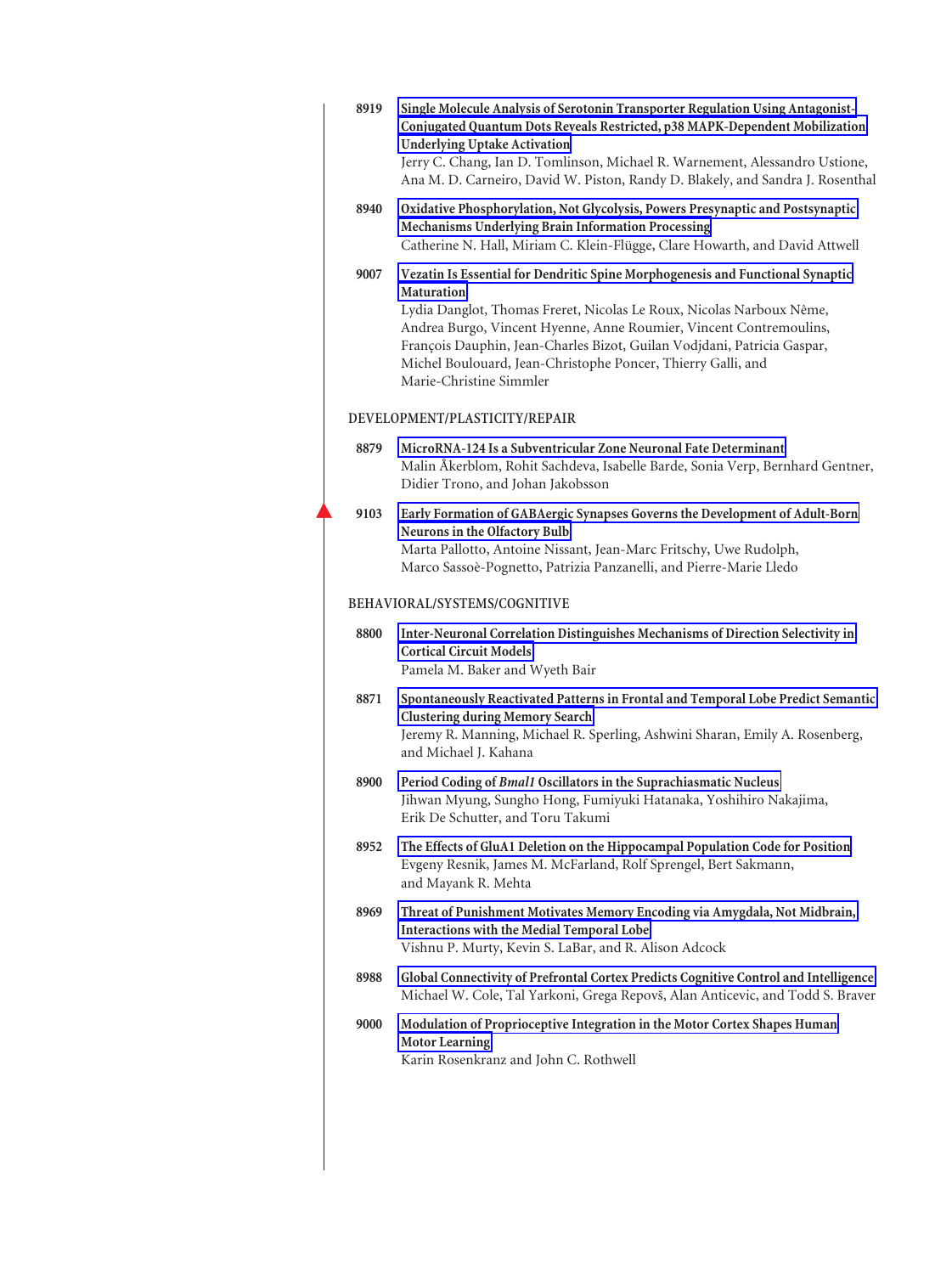| 8919 | Single Molecule Analysis of Serotonin Transporter Regulation Using Antagonist-<br>Conjugated Quantum Dots Reveals Restricted, p38 MAPK-Dependent Mobilization<br><b>Underlying Uptake Activation</b><br>Jerry C. Chang, Ian D. Tomlinson, Michael R. Warnement, Alessandro Ustione,<br>Ana M. D. Carneiro, David W. Piston, Randy D. Blakely, and Sandra J. Rosenthal                                                   |
|------|-------------------------------------------------------------------------------------------------------------------------------------------------------------------------------------------------------------------------------------------------------------------------------------------------------------------------------------------------------------------------------------------------------------------------|
| 8940 | Oxidative Phosphorylation, Not Glycolysis, Powers Presynaptic and Postsynaptic<br>Mechanisms Underlying Brain Information Processing<br>Catherine N. Hall, Miriam C. Klein-Flügge, Clare Howarth, and David Attwell                                                                                                                                                                                                     |
| 9007 | Vezatin Is Essential for Dendritic Spine Morphogenesis and Functional Synaptic<br><b>Maturation</b><br>Lydia Danglot, Thomas Freret, Nicolas Le Roux, Nicolas Narboux Nême,<br>Andrea Burgo, Vincent Hyenne, Anne Roumier, Vincent Contremoulins,<br>François Dauphin, Jean-Charles Bizot, Guilan Vodjdani, Patricia Gaspar,<br>Michel Boulouard, Jean-Christophe Poncer, Thierry Galli, and<br>Marie-Christine Simmler |
|      | DEVELOPMENT/PLASTICITY/REPAIR                                                                                                                                                                                                                                                                                                                                                                                           |
| 8879 | MicroRNA-124 Is a Subventricular Zone Neuronal Fate Determinant<br>Malin Åkerblom, Rohit Sachdeva, Isabelle Barde, Sonia Verp, Bernhard Gentner,<br>Didier Trono, and Johan Jakobsson                                                                                                                                                                                                                                   |
| 9103 | Early Formation of GABAergic Synapses Governs the Development of Adult-Born<br>Neurons in the Olfactory Bulb<br>Marta Pallotto, Antoine Nissant, Jean-Marc Fritschy, Uwe Rudolph,<br>Marco Sassoè-Pognetto, Patrizia Panzanelli, and Pierre-Marie Lledo                                                                                                                                                                 |
|      | BEHAVIORAL/SYSTEMS/COGNITIVE                                                                                                                                                                                                                                                                                                                                                                                            |
| 8800 | Inter-Neuronal Correlation Distinguishes Mechanisms of Direction Selectivity in<br><b>Cortical Circuit Models</b><br>Pamela M. Baker and Wyeth Bair                                                                                                                                                                                                                                                                     |
| 8871 | Spontaneously Reactivated Patterns in Frontal and Temporal Lobe Predict Semantic<br><b>Clustering during Memory Search</b><br>Jeremy R. Manning, Michael R. Sperling, Ashwini Sharan, Emily A. Rosenberg,<br>and Michael J. Kahana                                                                                                                                                                                      |
| 8900 | Period Coding of Bmal1 Oscillators in the Suprachiasmatic Nucleus<br>Jihwan Myung, Sungho Hong, Fumiyuki Hatanaka, Yoshihiro Nakajima,<br>Erik De Schutter, and Toru Takumi                                                                                                                                                                                                                                             |
| 8952 | The Effects of GluA1 Deletion on the Hippocampal Population Code for Position<br>Evgeny Resnik, James M. McFarland, Rolf Sprengel, Bert Sakmann,<br>and Mayank R. Mehta                                                                                                                                                                                                                                                 |
| 8969 | Threat of Punishment Motivates Memory Encoding via Amygdala, Not Midbrain,<br><b>Interactions with the Medial Temporal Lobe</b><br>Vishnu P. Murty, Kevin S. LaBar, and R. Alison Adcock                                                                                                                                                                                                                                |
| 8988 | Global Connectivity of Prefrontal Cortex Predicts Cognitive Control and Intelligence<br>Michael W. Cole, Tal Yarkoni, Grega Repovš, Alan Anticevic, and Todd S. Braver                                                                                                                                                                                                                                                  |
| 9000 | Modulation of Proprioceptive Integration in the Motor Cortex Shapes Human<br><b>Motor Learning</b><br>Karin Rosenkranz and John C. Rothwell                                                                                                                                                                                                                                                                             |
|      |                                                                                                                                                                                                                                                                                                                                                                                                                         |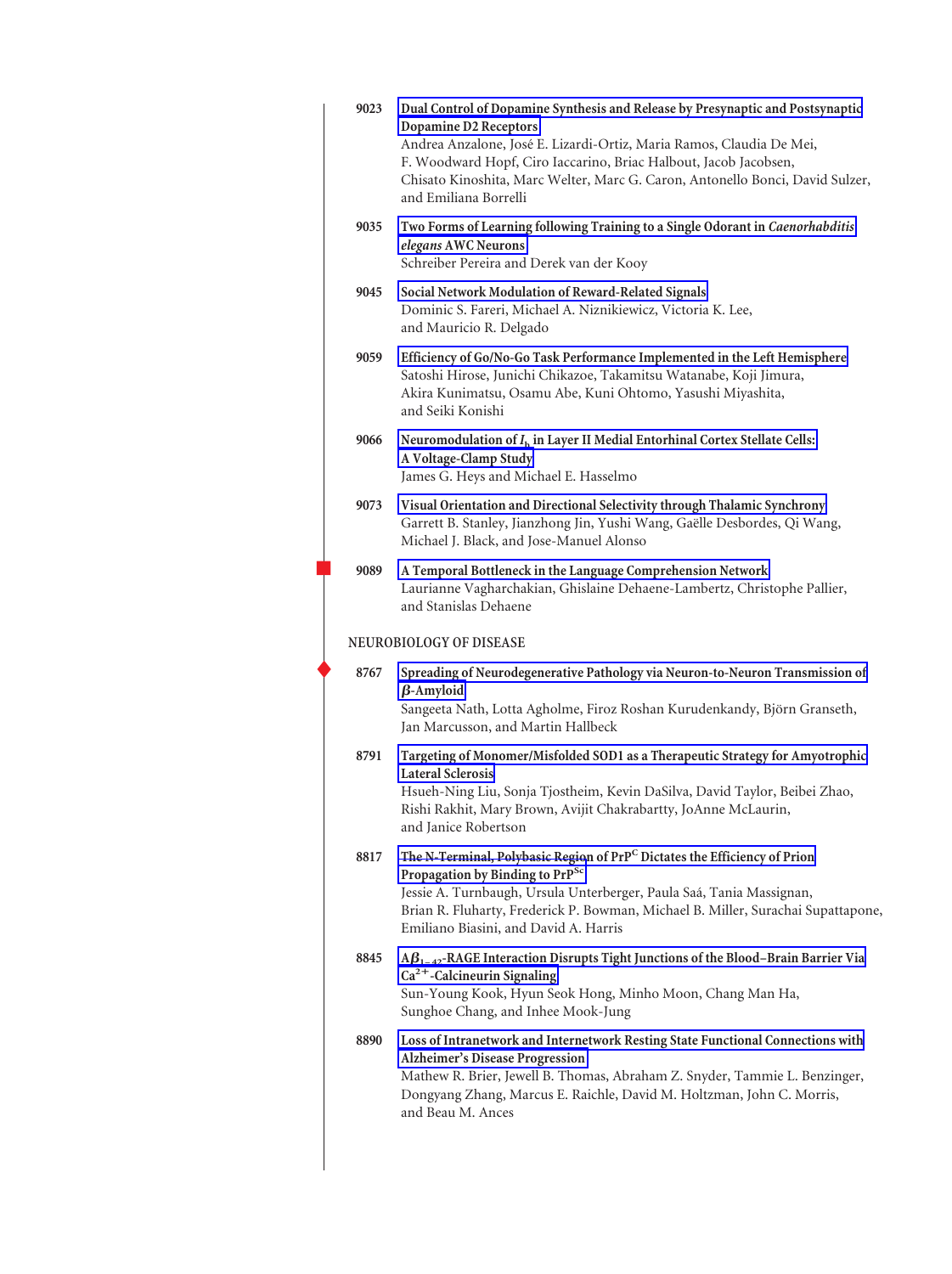| 9023 | Dual Control of Dopamine Synthesis and Release by Presynaptic and Postsynaptic<br><b>Dopamine D2 Receptors</b><br>Andrea Anzalone, José E. Lizardi-Ortiz, Maria Ramos, Claudia De Mei,<br>F. Woodward Hopf, Ciro Iaccarino, Briac Halbout, Jacob Jacobsen,<br>Chisato Kinoshita, Marc Welter, Marc G. Caron, Antonello Bonci, David Sulzer,<br>and Emiliana Borrelli |
|------|----------------------------------------------------------------------------------------------------------------------------------------------------------------------------------------------------------------------------------------------------------------------------------------------------------------------------------------------------------------------|
| 9035 | Two Forms of Learning following Training to a Single Odorant in Caenorhabditis<br>elegans AWC Neurons<br>Schreiber Pereira and Derek van der Kooy                                                                                                                                                                                                                    |
| 9045 | Social Network Modulation of Reward-Related Signals<br>Dominic S. Fareri, Michael A. Niznikiewicz, Victoria K. Lee,<br>and Mauricio R. Delgado                                                                                                                                                                                                                       |
| 9059 | Efficiency of Go/No-Go Task Performance Implemented in the Left Hemisphere<br>Satoshi Hirose, Junichi Chikazoe, Takamitsu Watanabe, Koji Jimura,<br>Akira Kunimatsu, Osamu Abe, Kuni Ohtomo, Yasushi Miyashita,<br>and Seiki Konishi                                                                                                                                 |
| 9066 | Neuromodulation of $I_h$ in Layer II Medial Entorhinal Cortex Stellate Cells:<br>A Voltage-Clamp Study<br>James G. Heys and Michael E. Hasselmo                                                                                                                                                                                                                      |
| 9073 | Visual Orientation and Directional Selectivity through Thalamic Synchrony<br>Garrett B. Stanley, Jianzhong Jin, Yushi Wang, Gaëlle Desbordes, Qi Wang,<br>Michael J. Black, and Jose-Manuel Alonso                                                                                                                                                                   |
| 9089 | A Temporal Bottleneck in the Language Comprehension Network<br>Laurianne Vagharchakian, Ghislaine Dehaene-Lambertz, Christophe Pallier,<br>and Stanislas Dehaene                                                                                                                                                                                                     |
|      | <b>NEUROBIOLOGY OF DISEASE</b>                                                                                                                                                                                                                                                                                                                                       |
| 8767 | Spreading of Neurodegenerative Pathology via Neuron-to-Neuron Transmission of<br>$\beta$ -Amyloid<br>Sangeeta Nath, Lotta Agholme, Firoz Roshan Kurudenkandy, Björn Granseth,<br>Jan Marcusson, and Martin Hallbeck                                                                                                                                                  |
| 8791 | Targeting of Monomer/Misfolded SOD1 as a Therapeutic Strategy for Amyotrophic<br><b>Lateral Sclerosis</b><br>Hsueh-Ning Liu, Sonja Tjostheim, Kevin DaSilva, David Taylor, Beibei Zhao,<br>Rishi Rakhit, Mary Brown, Avijit Chakrabartty, JoAnne McLaurin,<br>and Janice Robertson                                                                                   |
| 8817 | The N-Terminal, Polybasic Region of PrPC Dictates the Efficiency of Prion<br>Propagation by Binding to PrP <sup>Sc</sup><br>Jessie A. Turnbaugh, Ursula Unterberger, Paula Saá, Tania Massignan,<br>Brian R. Fluharty, Frederick P. Bowman, Michael B. Miller, Surachai Supattapone,<br>Emiliano Biasini, and David A. Harris                                        |
| 8845 | $A\beta_{1-42}$ -RAGE Interaction Disrupts Tight Junctions of the Blood-Brain Barrier Via<br>$Ca2+$ -Calcineurin Signaling<br>Sun-Young Kook, Hyun Seok Hong, Minho Moon, Chang Man Ha,<br>Sunghoe Chang, and Inhee Mook-Jung                                                                                                                                        |
| 8890 | Loss of Intranetwork and Internetwork Resting State Functional Connections with<br>Alzheimer's Disease Progression<br>Mathew R. Brier, Jewell B. Thomas, Abraham Z. Snyder, Tammie L. Benzinger,<br>Dongyang Zhang, Marcus E. Raichle, David M. Holtzman, John C. Morris,<br>and Beau M. Ances                                                                       |
|      |                                                                                                                                                                                                                                                                                                                                                                      |